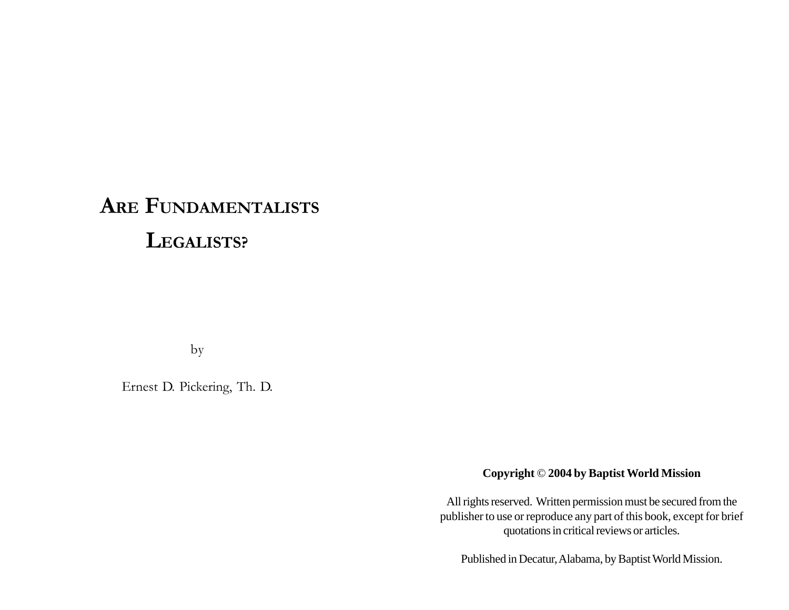# **ARE FUNDAMENTALISTS LEGALISTS?**

by

Ernest D. Pickering, Th. D.

**Copyright** © **2004 by Baptist World Mission**

All rights reserved. Written permission must be secured from the publisher to use or reproduce any part of this book, except for brief quotations in critical reviews or articles.

Published in Decatur, Alabama, by Baptist World Mission.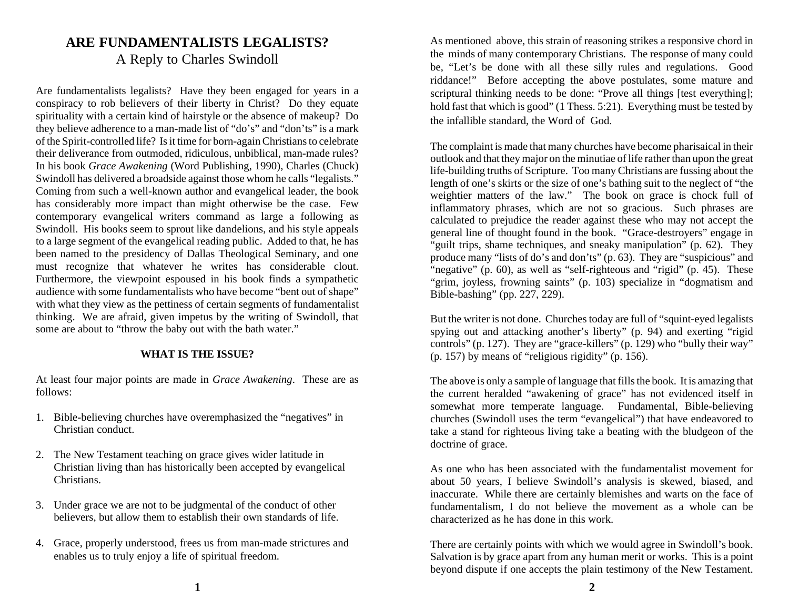# **ARE FUNDAMENTALISTS LEGALISTS?** A Reply to Charles Swindoll

Are fundamentalists legalists? Have they been engaged for years in a conspiracy to rob believers of their liberty in Christ? Do they equate spirituality with a certain kind of hairstyle or the absence of makeup? Do they believe adherence to a man-made list of "do's" and "don'ts" is a mark of the Spirit-controlled life? Is it time for born-again Christians to celebrate their deliverance from outmoded, ridiculous, unbiblical, man-made rules? In his book *Grace Awakening* (Word Publishing, 1990), Charles (Chuck) Swindoll has delivered a broadside against those whom he calls "legalists." Coming from such a well-known author and evangelical leader, the book has considerably more impact than might otherwise be the case. Few contemporary evangelical writers command as large a following as Swindoll. His books seem to sprout like dandelions, and his style appeals to a large segment of the evangelical reading public. Added to that, he has been named to the presidency of Dallas Theological Seminary, and one must recognize that whatever he writes has considerable clout. Furthermore, the viewpoint espoused in his book finds a sympathetic audience with some fundamentalists who have become "bent out of shape" with what they view as the pettiness of certain segments of fundamentalist thinking. We are afraid, given impetus by the writing of Swindoll, that some are about to "throw the baby out with the bath water."

#### **WHAT IS THE ISSUE?**

At least four major points are made in *Grace Awakening*. These are as follows:

- 1. Bible-believing churches have overemphasized the "negatives" in Christian conduct.
- 2. The New Testament teaching on grace gives wider latitude in Christian living than has historically been accepted by evangelical Christians.
- 3. Under grace we are not to be judgmental of the conduct of other believers, but allow them to establish their own standards of life.
- 4. Grace, properly understood, frees us from man-made strictures and enables us to truly enjoy a life of spiritual freedom.

As mentioned above, this strain of reasoning strikes a responsive chord in the minds of many contemporary Christians. The response of many could be, "Let's be done with all these silly rules and regulations. Good riddance!" Before accepting the above postulates, some mature and scriptural thinking needs to be done: "Prove all things [test everything]; hold fast that which is good" (1 Thess. 5:21). Everything must be tested by the infallible standard, the Word of God.

The complaint is made that many churches have become pharisaical in their outlook and that they major on the minutiae of life rather than upon the great life-building truths of Scripture. Too many Christians are fussing about the length of one's skirts or the size of one's bathing suit to the neglect of "the weightier matters of the law." The book on grace is chock full of inflammatory phrases, which are not so gracious. Such phrases are calculated to prejudice the reader against these who may not accept the general line of thought found in the book. "Grace-destroyers" engage in "guilt trips, shame techniques, and sneaky manipulation" (p. 62). They produce many "lists of do's and don'ts" (p. 63). They are "suspicious" and "negative" (p. 60), as well as "self-righteous and "rigid" (p. 45). These "grim, joyless, frowning saints" (p. 103) specialize in "dogmatism and Bible-bashing" (pp. 227, 229).

But the writer is not done. Churches today are full of "squint-eyed legalists spying out and attacking another's liberty" (p. 94) and exerting "rigid controls" (p. 127). They are "grace-killers" (p. 129) who "bully their way" (p. 157) by means of "religious rigidity" (p. 156).

The above is only a sample of language that fills the book. It is amazing that the current heralded "awakening of grace" has not evidenced itself in somewhat more temperate language. Fundamental, Bible-believing churches (Swindoll uses the term "evangelical") that have endeavored to take a stand for righteous living take a beating with the bludgeon of the doctrine of grace.

As one who has been associated with the fundamentalist movement for about 50 years, I believe Swindoll's analysis is skewed, biased, and inaccurate. While there are certainly blemishes and warts on the face of fundamentalism, I do not believe the movement as a whole can be characterized as he has done in this work.

There are certainly points with which we would agree in Swindoll's book. Salvation is by grace apart from any human merit or works. This is a point beyond dispute if one accepts the plain testimony of the New Testament.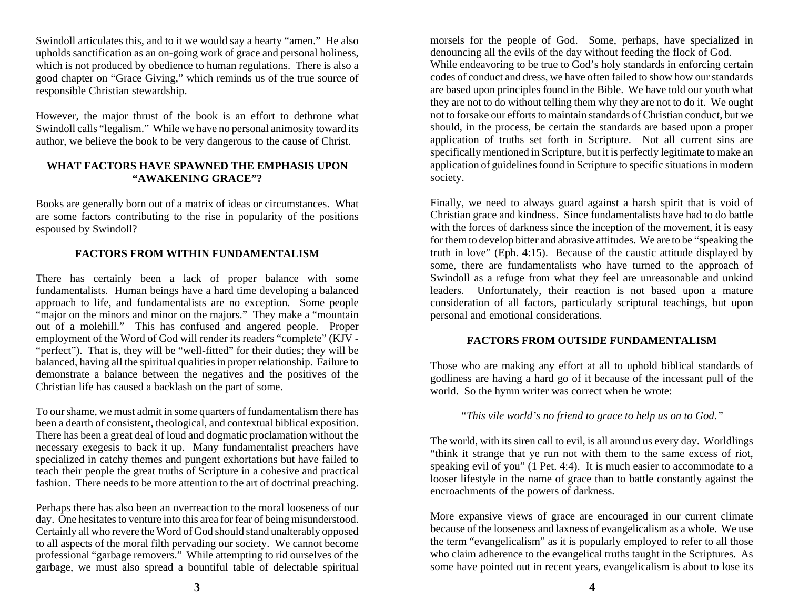Swindoll articulates this, and to it we would say a hearty "amen." He also upholds sanctification as an on-going work of grace and personal holiness, which is not produced by obedience to human regulations. There is also a good chapter on "Grace Giving," which reminds us of the true source of responsible Christian stewardship.

However, the major thrust of the book is an effort to dethrone what Swindoll calls "legalism." While we have no personal animosity toward its author, we believe the book to be very dangerous to the cause of Christ.

#### **WHAT FACTORS HAVE SPAWNED THE EMPHASIS UPON "AWAKENING GRACE"?**

Books are generally born out of a matrix of ideas or circumstances. What are some factors contributing to the rise in popularity of the positions espoused by Swindoll?

## **FACTORS FROM WITHIN FUNDAMENTALISM**

There has certainly been a lack of proper balance with some fundamentalists. Human beings have a hard time developing a balanced approach to life, and fundamentalists are no exception. Some people "major on the minors and minor on the majors." They make a "mountain out of a molehill." This has confused and angered people. Proper employment of the Word of God will render its readers "complete" (KJV - "perfect"). That is, they will be "well-fitted" for their duties; they will be balanced, having all the spiritual qualities in proper relationship. Failure to demonstrate a balance between the negatives and the positives of the Christian life has caused a backlash on the part of some.

To our shame, we must admit in some quarters of fundamentalism there has been a dearth of consistent, theological, and contextual biblical exposition. There has been a great deal of loud and dogmatic proclamation without the necessary exegesis to back it up. Many fundamentalist preachers have specialized in catchy themes and pungent exhortations but have failed to teach their people the great truths of Scripture in a cohesive and practical fashion. There needs to be more attention to the art of doctrinal preaching.

Perhaps there has also been an overreaction to the moral looseness of our day. One hesitates to venture into this area for fear of being misunderstood. Certainly all who revere the Word of God should stand unalterably opposed to all aspects of the moral filth pervading our society. We cannot become professional "garbage removers." While attempting to rid ourselves of the garbage, we must also spread a bountiful table of delectable spiritual

morsels for the people of God. Some, perhaps, have specialized in denouncing all the evils of the day without feeding the flock of God. While endeavoring to be true to God's holy standards in enforcing certain codes of conduct and dress, we have often failed to show how our standards are based upon principles found in the Bible. We have told our youth what they are not to do without telling them why they are not to do it. We ought not to forsake our efforts to maintain standards of Christian conduct, but we should, in the process, be certain the standards are based upon a proper application of truths set forth in Scripture. Not all current sins are specifically mentioned in Scripture, but it is perfectly legitimate to make an application of guidelines found in Scripture to specific situations in modern society.

Finally, we need to always guard against a harsh spirit that is void of Christian grace and kindness. Since fundamentalists have had to do battle with the forces of darkness since the inception of the movement, it is easy for them to develop bitter and abrasive attitudes. We are to be "speaking the truth in love" (Eph. 4:15). Because of the caustic attitude displayed by some, there are fundamentalists who have turned to the approach of Swindoll as a refuge from what they feel are unreasonable and unkind leaders. Unfortunately, their reaction is not based upon a mature consideration of all factors, particularly scriptural teachings, but upon personal and emotional considerations.

#### **FACTORS FROM OUTSIDE FUNDAMENTALISM**

Those who are making any effort at all to uphold biblical standards of godliness are having a hard go of it because of the incessant pull of the world. So the hymn writer was correct when he wrote:

#### *"This vile world's no friend to grace to help us on to God."*

The world, with its siren call to evil, is all around us every day. Worldlings "think it strange that ye run not with them to the same excess of riot, speaking evil of you" (1 Pet. 4:4). It is much easier to accommodate to a looser lifestyle in the name of grace than to battle constantly against the encroachments of the powers of darkness.

More expansive views of grace are encouraged in our current climate because of the looseness and laxness of evangelicalism as a whole. We use the term "evangelicalism" as it is popularly employed to refer to all those who claim adherence to the evangelical truths taught in the Scriptures. As some have pointed out in recent years, evangelicalism is about to lose its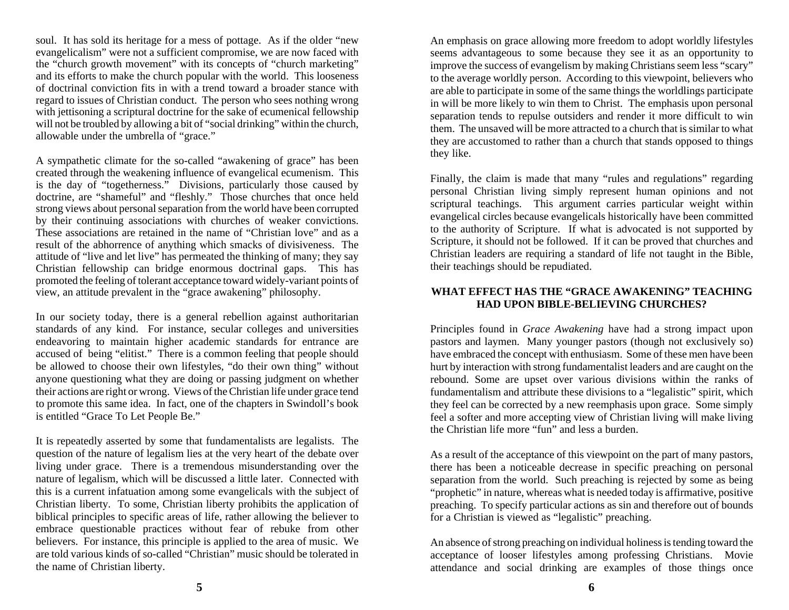soul. It has sold its heritage for a mess of pottage. As if the older "new evangelicalism" were not a sufficient compromise, we are now faced with the "church growth movement" with its concepts of "church marketing" and its efforts to make the church popular with the world. This looseness of doctrinal conviction fits in with a trend toward a broader stance with regard to issues of Christian conduct. The person who sees nothing wrong with jettisoning a scriptural doctrine for the sake of ecumenical fellowship will not be troubled by allowing a bit of "social drinking" within the church, allowable under the umbrella of "grace."

A sympathetic climate for the so-called "awakening of grace" has been created through the weakening influence of evangelical ecumenism. This is the day of "togetherness." Divisions, particularly those caused by doctrine, are "shameful" and "fleshly." Those churches that once held strong views about personal separation from the world have been corrupted by their continuing associations with churches of weaker convictions. These associations are retained in the name of "Christian love" and as a result of the abhorrence of anything which smacks of divisiveness. The attitude of "live and let live" has permeated the thinking of many; they say Christian fellowship can bridge enormous doctrinal gaps. This has promoted the feeling of tolerant acceptance toward widely-variant points of view, an attitude prevalent in the "grace awakening" philosophy.

In our society today, there is a general rebellion against authoritarian standards of any kind. For instance, secular colleges and universities endeavoring to maintain higher academic standards for entrance are accused of being "elitist." There is a common feeling that people should be allowed to choose their own lifestyles, "do their own thing" without anyone questioning what they are doing or passing judgment on whether their actions are right or wrong. Views of the Christian life under grace tend to promote this same idea. In fact, one of the chapters in Swindoll's book is entitled "Grace To Let People Be."

It is repeatedly asserted by some that fundamentalists are legalists. The question of the nature of legalism lies at the very heart of the debate over living under grace. There is a tremendous misunderstanding over the nature of legalism, which will be discussed a little later. Connected with this is a current infatuation among some evangelicals with the subject of Christian liberty. To some, Christian liberty prohibits the application of biblical principles to specific areas of life, rather allowing the believer to embrace questionable practices without fear of rebuke from other believers. For instance, this principle is applied to the area of music. We are told various kinds of so-called "Christian" music should be tolerated in the name of Christian liberty.

An emphasis on grace allowing more freedom to adopt worldly lifestyles seems advantageous to some because they see it as an opportunity to improve the success of evangelism by making Christians seem less "scary" to the average worldly person. According to this viewpoint, believers who are able to participate in some of the same things the worldlings participate in will be more likely to win them to Christ. The emphasis upon personal separation tends to repulse outsiders and render it more difficult to win them. The unsaved will be more attracted to a church that is similar to what they are accustomed to rather than a church that stands opposed to things they like.

Finally, the claim is made that many "rules and regulations" regarding personal Christian living simply represent human opinions and not scriptural teachings. This argument carries particular weight within evangelical circles because evangelicals historically have been committed to the authority of Scripture. If what is advocated is not supported by Scripture, it should not be followed. If it can be proved that churches and Christian leaders are requiring a standard of life not taught in the Bible, their teachings should be repudiated.

#### **WHAT EFFECT HAS THE "GRACE AWAKENING" TEACHING HAD UPON BIBLE-BELIEVING CHURCHES?**

Principles found in *Grace Awakening* have had a strong impact upon pastors and laymen. Many younger pastors (though not exclusively so) have embraced the concept with enthusiasm. Some of these men have been hurt by interaction with strong fundamentalist leaders and are caught on the rebound. Some are upset over various divisions within the ranks of fundamentalism and attribute these divisions to a "legalistic" spirit, which they feel can be corrected by a new reemphasis upon grace. Some simply feel a softer and more accepting view of Christian living will make living the Christian life more "fun" and less a burden.

As a result of the acceptance of this viewpoint on the part of many pastors, there has been a noticeable decrease in specific preaching on personal separation from the world. Such preaching is rejected by some as being "prophetic" in nature, whereas what is needed today is affirmative, positive preaching. To specify particular actions as sin and therefore out of bounds for a Christian is viewed as "legalistic" preaching.

An absence of strong preaching on individual holiness is tending toward the acceptance of looser lifestyles among professing Christians. Movie attendance and social drinking are examples of those things once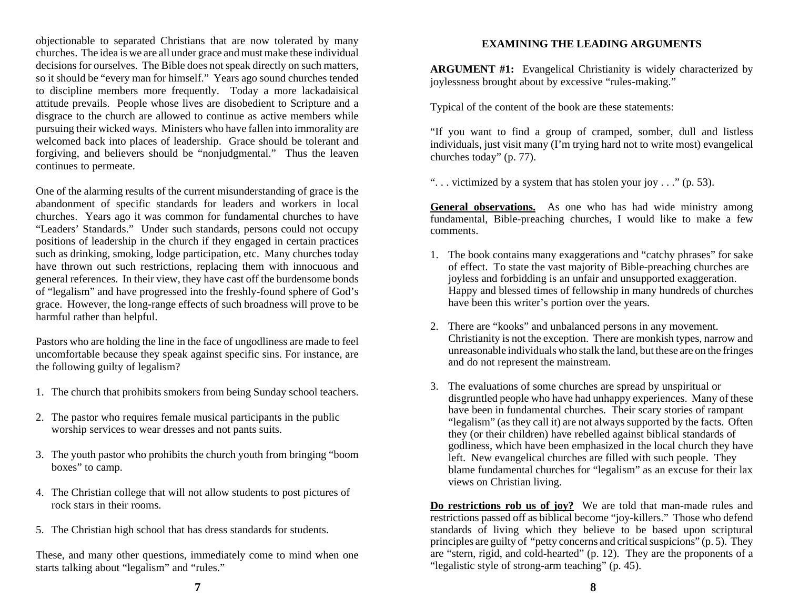objectionable to separated Christians that are now tolerated by many churches. The idea is we are all under grace and must make these individual decisions for ourselves. The Bible does not speak directly on such matters, so it should be "every man for himself." Years ago sound churches tended to discipline members more frequently. Today a more lackadaisical attitude prevails. People whose lives are disobedient to Scripture and a disgrace to the church are allowed to continue as active members while pursuing their wicked ways. Ministers who have fallen into immorality are welcomed back into places of leadership. Grace should be tolerant and forgiving, and believers should be "nonjudgmental." Thus the leaven continues to permeate.

One of the alarming results of the current misunderstanding of grace is the abandonment of specific standards for leaders and workers in local churches. Years ago it was common for fundamental churches to have "Leaders' Standards." Under such standards, persons could not occupy positions of leadership in the church if they engaged in certain practices such as drinking, smoking, lodge participation, etc. Many churches today have thrown out such restrictions, replacing them with innocuous and general references. In their view, they have cast off the burdensome bonds of "legalism" and have progressed into the freshly-found sphere of God's grace. However, the long-range effects of such broadness will prove to be harmful rather than helpful.

Pastors who are holding the line in the face of ungodliness are made to feel uncomfortable because they speak against specific sins. For instance, are the following guilty of legalism?

- 1. The church that prohibits smokers from being Sunday school teachers.
- 2. The pastor who requires female musical participants in the public worship services to wear dresses and not pants suits.
- 3. The youth pastor who prohibits the church youth from bringing "boom boxes" to camp.
- 4. The Christian college that will not allow students to post pictures of rock stars in their rooms.
- 5. The Christian high school that has dress standards for students.

These, and many other questions, immediately come to mind when one starts talking about "legalism" and "rules."

#### **EXAMINING THE LEADING ARGUMENTS**

**ARGUMENT #1:** Evangelical Christianity is widely characterized by joylessness brought about by excessive "rules-making."

Typical of the content of the book are these statements:

"If you want to find a group of cramped, somber, dull and listless individuals, just visit many (I'm trying hard not to write most) evangelical churches today" (p. 77).

". . . victimized by a system that has stolen your joy . . ." (p. 53).

General observations. As one who has had wide ministry among fundamental, Bible-preaching churches, I would like to make a few comments.

- 1. The book contains many exaggerations and "catchy phrases" for sake of effect. To state the vast majority of Bible-preaching churches are joyless and forbidding is an unfair and unsupported exaggeration. Happy and blessed times of fellowship in many hundreds of churches have been this writer's portion over the years.
- 2. There are "kooks" and unbalanced persons in any movement. Christianity is not the exception. There are monkish types, narrow and unreasonable individuals who stalk the land, but these are on the fringes and do not represent the mainstream.
- 3. The evaluations of some churches are spread by unspiritual or disgruntled people who have had unhappy experiences. Many of these have been in fundamental churches. Their scary stories of rampant "legalism" (as they call it) are not always supported by the facts. Often they (or their children) have rebelled against biblical standards of godliness, which have been emphasized in the local church they have left. New evangelical churches are filled with such people. They blame fundamental churches for "legalism" as an excuse for their lax views on Christian living.

**Do restrictions rob us of joy?** We are told that man-made rules and restrictions passed off as biblical become "joy-killers." Those who defend standards of living which they believe to be based upon scriptural principles are guilty of "petty concerns and critical suspicions" (p. 5). They are "stern, rigid, and cold-hearted" (p. 12). They are the proponents of a "legalistic style of strong-arm teaching" (p. 45).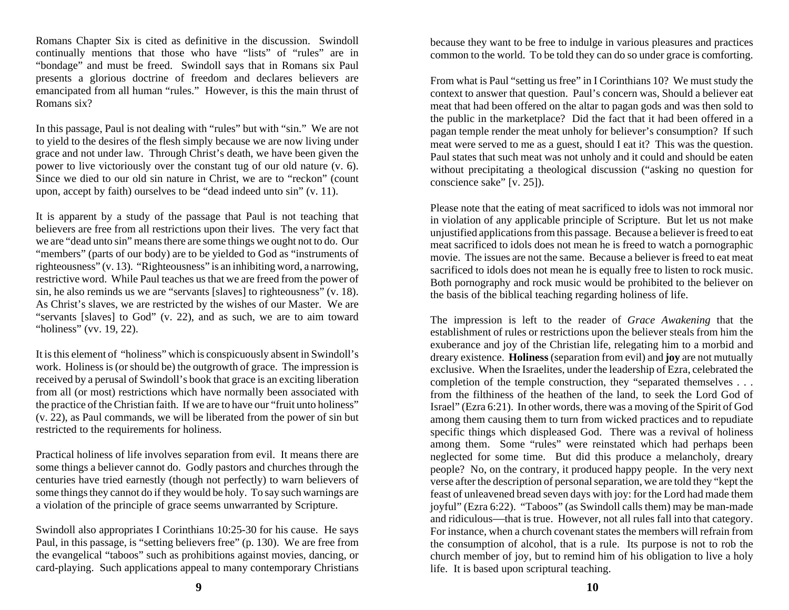Romans Chapter Six is cited as definitive in the discussion. Swindoll continually mentions that those who have "lists" of "rules" are in "bondage" and must be freed. Swindoll says that in Romans six Paul presents a glorious doctrine of freedom and declares believers are emancipated from all human "rules." However, is this the main thrust of Romans six?

In this passage, Paul is not dealing with "rules" but with "sin." We are not to yield to the desires of the flesh simply because we are now living under grace and not under law. Through Christ's death, we have been given the power to live victoriously over the constant tug of our old nature (v. 6). Since we died to our old sin nature in Christ, we are to "reckon" (count upon, accept by faith) ourselves to be "dead indeed unto sin" (v. 11).

It is apparent by a study of the passage that Paul is not teaching that believers are free from all restrictions upon their lives. The very fact that we are "dead unto sin" means there are some things we ought not to do. Our "members" (parts of our body) are to be yielded to God as "instruments of righteousness" (v. 13). "Righteousness" is an inhibiting word, a narrowing, restrictive word. While Paul teaches us that we are freed from the power of sin, he also reminds us we are "servants [slaves] to righteousness" (v. 18). As Christ's slaves, we are restricted by the wishes of our Master. We are "servants [slaves] to God" (v. 22), and as such, we are to aim toward "holiness" (vv. 19, 22).

It is this element of "holiness" which is conspicuously absent in Swindoll's work. Holiness is (or should be) the outgrowth of grace. The impression is received by a perusal of Swindoll's book that grace is an exciting liberation from all (or most) restrictions which have normally been associated with the practice of the Christian faith. If we are to have our "fruit unto holiness" (v. 22), as Paul commands, we will be liberated from the power of sin but restricted to the requirements for holiness.

Practical holiness of life involves separation from evil. It means there are some things a believer cannot do. Godly pastors and churches through the centuries have tried earnestly (though not perfectly) to warn believers of some things they cannot do if they would be holy. To say such warnings are a violation of the principle of grace seems unwarranted by Scripture.

Swindoll also appropriates I Corinthians 10:25-30 for his cause. He says Paul, in this passage, is "setting believers free" (p. 130). We are free from the evangelical "taboos" such as prohibitions against movies, dancing, or card-playing. Such applications appeal to many contemporary Christians

because they want to be free to indulge in various pleasures and practices common to the world. To be told they can do so under grace is comforting.

From what is Paul "setting us free" in I Corinthians 10? We must study the context to answer that question. Paul's concern was, Should a believer eat meat that had been offered on the altar to pagan gods and was then sold to the public in the marketplace? Did the fact that it had been offered in a pagan temple render the meat unholy for believer's consumption? If such meat were served to me as a guest, should I eat it? This was the question. Paul states that such meat was not unholy and it could and should be eaten without precipitating a theological discussion ("asking no question for conscience sake" [v. 25]).

Please note that the eating of meat sacrificed to idols was not immoral nor in violation of any applicable principle of Scripture. But let us not make unjustified applications from this passage. Because a believer is freed to eat meat sacrificed to idols does not mean he is freed to watch a pornographic movie. The issues are not the same. Because a believer is freed to eat meat sacrificed to idols does not mean he is equally free to listen to rock music. Both pornography and rock music would be prohibited to the believer on the basis of the biblical teaching regarding holiness of life.

The impression is left to the reader of *Grace Awakening* that the establishment of rules or restrictions upon the believer steals from him the exuberance and joy of the Christian life, relegating him to a morbid and dreary existence. **Holiness** (separation from evil) and **joy** are not mutually exclusive. When the Israelites, under the leadership of Ezra, celebrated the completion of the temple construction, they "separated themselves . . . from the filthiness of the heathen of the land, to seek the Lord God of Israel" (Ezra 6:21). In other words, there was a moving of the Spirit of God among them causing them to turn from wicked practices and to repudiate specific things which displeased God. There was a revival of holiness among them. Some "rules" were reinstated which had perhaps been neglected for some time. But did this produce a melancholy, dreary people? No, on the contrary, it produced happy people. In the very next verse after the description of personal separation, we are told they "kept the feast of unleavened bread seven days with joy: for the Lord had made them joyful" (Ezra 6:22). "Taboos" (as Swindoll calls them) may be man-made and ridiculous —that is true. However, not all rules fall into that category. For instance, when a church covenant states the members will refrain from the consumption of alcohol, that is a rule. Its purpose is not to rob the church member of joy, but to remind him of his obligation to live a holy life. It is based upon scriptural teaching.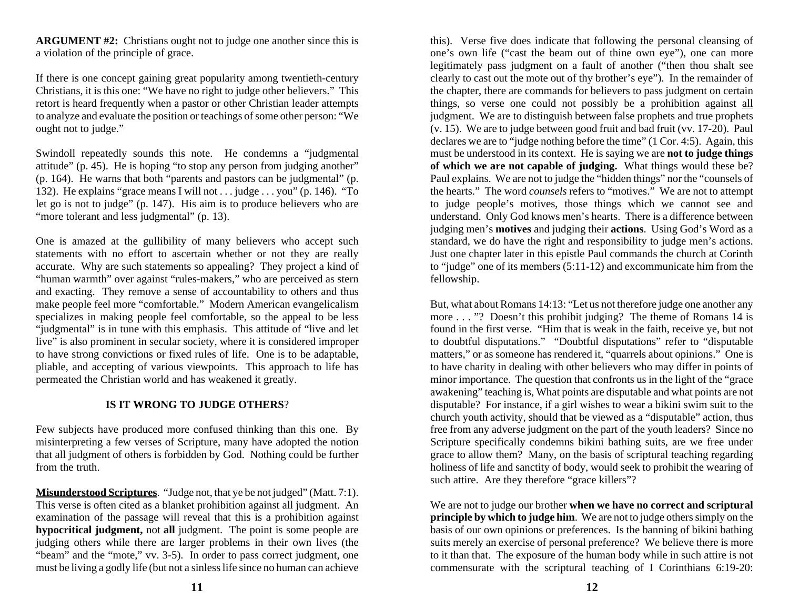**ARGUMENT #2:** Christians ought not to judge one another since this is a violation of the principle of grace.

If there is one concept gaining great popularity among twentieth-century Christians, it is this one: "We have no right to judge other believers." This retort is heard frequently when a pastor or other Christian leader attempts to analyze and evaluate the position or teachings of some other person: "We ought not to judge."

Swindoll repeatedly sounds this note. He condemns a "judgmental attitude" (p. 45). He is hoping "to stop any person from judging another" (p. 164). He warns that both "parents and pastors can be judgmental" (p. 132). He explains "grace means I will not . . . judge . . . you" (p. 146). "To let go is not to judge" (p. 147). His aim is to produce believers who are "more tolerant and less judgmental" (p. 13).

One is amazed at the gullibility of many believers who accept such statements with no effort to ascertain whether or not they are really accurate. Why are such statements so appealing? They project a kind of "human warmth" over against "rules-makers," who are perceived as stern and exacting. They remove a sense of accountability to others and thus make people feel more "comfortable." Modern American evangelicalism specializes in making people feel comfortable, so the appeal to be less "judgmental" is in tune with this emphasis. This attitude of "live and let live" is also prominent in secular society, where it is considered improper to have strong convictions or fixed rules of life. One is to be adaptable, pliable, and accepting of various viewpoints. This approach to life has permeated the Christian world and has weakened it greatly.

# **IS IT WRONG TO JUDGE OTHERS**?

Few subjects have produced more confused thinking than this one. By misinterpreting a few verses of Scripture, many have adopted the notion that all judgment of others is forbidden by God. Nothing could be further from the truth.

**Misunderstood Scriptures**. "Judge not, that ye be not judged" (Matt. 7:1). This verse is often cited as a blanket prohibition against all judgment. An examination of the passage will reveal that this is a prohibition against **hypocritical judgment,** not **all** judgment. The point is some people are judging others while there are larger problems in their own lives (the "beam" and the "mote," vv. 3-5). In order to pass correct judgment, one must be living a godly life (but not a sinless life since no human can achieve

this). Verse five does indicate that following the personal cleansing of one's own life ("cast the beam out of thine own eye"), one can more legitimately pass judgment on a fault of another ("then thou shalt see clearly to cast out the mote out of thy brother's eye"). In the remainder of the chapter, there are commands for believers to pass judgment on certain things, so verse one could not possibly be a prohibition against all judgment. We are to distinguish between false prophets and true prophets (v. 15). We are to judge between good fruit and bad fruit (vv. 17-20). Paul declares we are to "judge nothing before the time" (1 Cor. 4:5). Again, this must be understood in its context. He is saying we are **not to judge things of which we are not capable of judging.** What things would these be? Paul explains. We are not to judge the "hidden things" nor the "counsels of the hearts." The word *counsels* refers to "motives." We are not to attempt to judge people's motives, those things which we cannot see and understand. Only God knows men's hearts. There is a difference between judging men's **motives** and judging their **actions**. Using God's Word as a standard, we do have the right and responsibility to judge men's actions. Just one chapter later in this epistle Paul commands the church at Corinth to "judge" one of its members (5:11-12) and excommunicate him from the fellowship.

But, what about Romans 14:13: "Let us not therefore judge one another any more . . . "? Doesn't this prohibit judging? The theme of Romans 14 is found in the first verse. "Him that is weak in the faith, receive ye, but not to doubtful disputations." "Doubtful disputations" refer to "disputable matters," or as someone has rendered it, "quarrels about opinions." One is to have charity in dealing with other believers who may differ in points of minor importance. The question that confronts us in the light of the "grace awakening" teaching is, What points are disputable and what points are not disputable? For instance, if a girl wishes to wear a bikini swim suit to the church youth activity, should that be viewed as a "disputable" action, thus free from any adverse judgment on the part of the youth leaders? Since no Scripture specifically condemns bikini bathing suits, are we free under grace to allow them? Many, on the basis of scriptural teaching regarding holiness of life and sanctity of body, would seek to prohibit the wearing of such attire. Are they therefore "grace killers"?

We are not to judge our brother **when we have no correct and scriptural principle by which to judge him**. We are not to judge others simply on the basis of our own opinions or preferences. Is the banning of bikini bathing suits merely an exercise of personal preference? We believe there is more to it than that. The exposure of the human body while in such attire is not commensurate with the scriptural teaching of I Corinthians 6:19-20: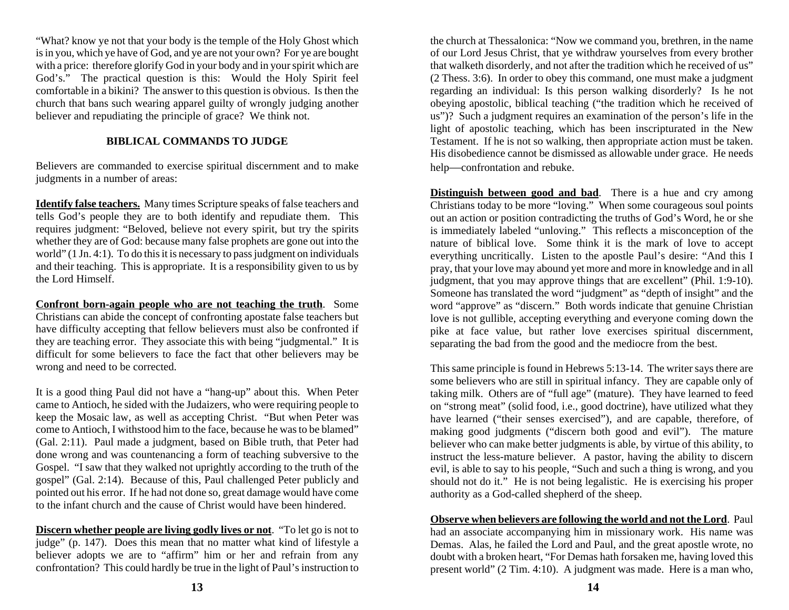"What? know ye not that your body is the temple of the Holy Ghost which is in you, which ye have of God, and ye are not your own? For ye are bought with a price: therefore glorify God in your body and in your spirit which are God's." The practical question is this: Would the Holy Spirit feel comfortable in a bikini? The answer to this question is obvious. Is then the church that bans such wearing apparel guilty of wrongly judging another believer and repudiating the principle of grace? We think not.

## **BIBLICAL COMMANDS TO JUDGE**

Believers are commanded to exercise spiritual discernment and to make judgments in a number of areas:

**Identify false teachers.** Many times Scripture speaks of false teachers and tells God's people they are to both identify and repudiate them. This requires judgment: "Beloved, believe not every spirit, but try the spirits whether they are of God: because many false prophets are gone out into the world" (1 Jn. 4:1). To do this it is necessary to pass judgment on individuals and their teaching. This is appropriate. It is a responsibility given to us by the Lord Himself.

**Confront born-again people who are not teaching the truth**. Some Christians can abide the concept of confronting apostate false teachers but have difficulty accepting that fellow believers must also be confronted if they are teaching error. They associate this with being "judgmental." It is difficult for some believers to face the fact that other believers may be wrong and need to be corrected.

It is a good thing Paul did not have a "hang-up" about this. When Peter came to Antioch, he sided with the Judaizers, who were requiring people to keep the Mosaic law, as well as accepting Christ. "But when Peter was come to Antioch, I withstood him to the face, because he was to be blamed" (Gal. 2:11). Paul made a judgment, based on Bible truth, that Peter had done wrong and was countenancing a form of teaching subversive to the Gospel. "I saw that they walked not uprightly according to the truth of the gospel" (Gal. 2:14). Because of this, Paul challenged Peter publicly and pointed out his error. If he had not done so, great damage would have come to the infant church and the cause of Christ would have been hindered.

**Discern whether people are living godly lives or not**. "To let go is not to judge" (p. 147). Does this mean that no matter what kind of lifestyle a believer adopts we are to "affirm" him or her and refrain from any confrontation? This could hardly be true in the light of Paul's instruction to

the church at Thessalonica: "Now we command you, brethren, in the name of our Lord Jesus Christ, that ye withdraw yourselves from every brother that walketh disorderly, and not after the tradition which he received of us" (2 Thess. 3:6). In order to obey this command, one must make a judgment regarding an individual: Is this person walking disorderly? Is he not obeying apostolic, biblical teaching ("the tradition which he received of us")? Such a judgment requires an examination of the person's life in the light of apostolic teaching, which has been inscripturated in the New Testament. If he is not so walking, then appropriate action must be taken. His disobedience cannot be dismissed as allowable under grace. He needs help —confrontation and rebuke.

**Distinguish between good and bad**. There is a hue and cry among Christians today to be more "loving." When some courageous soul points out an action or position contradicting the truths of God's Word, he or she is immediately labeled "unloving." This reflects a misconception of the nature of biblical love. Some think it is the mark of love to accept everything uncritically. Listen to the apostle Paul's desire: "And this I pray, that your love may abound yet more and more in knowledge and in all judgment, that you may approve things that are excellent" (Phil. 1:9-10). Someone has translated the word "judgment" as "depth of insight" and the word "approve" as "discern." Both words indicate that genuine Christian love is not gullible, accepting everything and everyone coming down the pike at face value, but rather love exercises spiritual discernment, separating the bad from the good and the mediocre from the best.

This same principle is found in Hebrews 5:13-14. The writer says there are some believers who are still in spiritual infancy. They are capable only of taking milk. Others are of "full age" (mature). They have learned to feed on "strong meat" (solid food, i.e., good doctrine), have utilized what they have learned ("their senses exercised"), and are capable, therefore, of making good judgments ("discern both good and evil"). The mature believer who can make better judgments is able, by virtue of this ability, to instruct the less-mature believer. A pastor, having the ability to discern evil, is able to say to his people, "Such and such a thing is wrong, and you should not do it." He is not being legalistic. He is exercising his proper authority as a God-called shepherd of the sheep.

**Observe when believers are following the world and not the Lord**. Paul had an associate accompanying him in missionary work. His name was Demas. Alas, he failed the Lord and Paul, and the great apostle wrote, no doubt with a broken heart, "For Demas hath forsaken me, having loved this present world" (2 Tim. 4:10). A judgment was made. Here is a man who,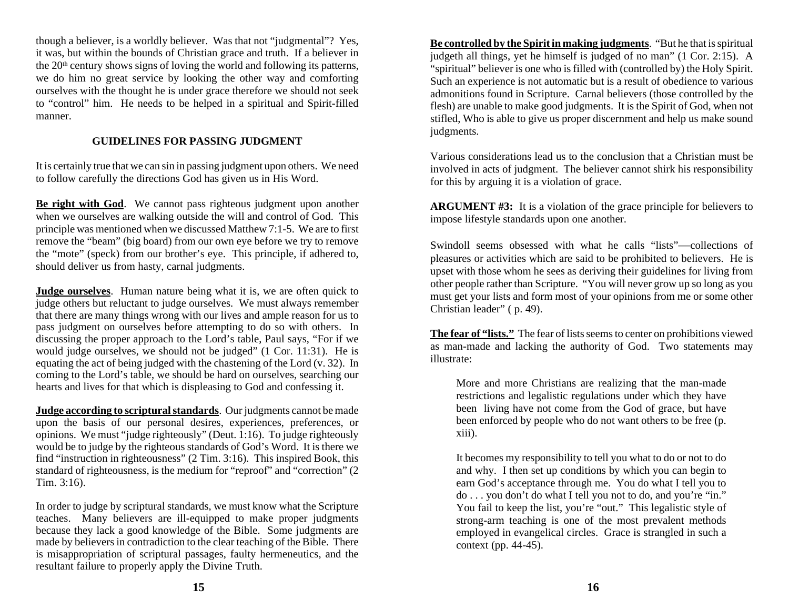though a believer, is a worldly believer. Was that not "judgmental"? Yes, it was, but within the bounds of Christian grace and truth. If a believer in the  $20<sup>th</sup>$  century shows signs of loving the world and following its patterns, we do him no great service by looking the other way and comforting ourselves with the thought he is under grace therefore we should not seek to "control" him. He needs to be helped in a spiritual and Spirit-filled manner.

## **GUIDELINES FOR PASSING JUDGMENT**

It is certainly true that we can sin in passing judgment upon others. We need to follow carefully the directions God has given us in His Word.

**Be right with God**. We cannot pass righteous judgment upon another when we ourselves are walking outside the will and control of God. This principle was mentioned when we discussed Matthew 7:1-5. We are to first remove the "beam" (big board) from our own eye before we try to remove the "mote" (speck) from our brother's eye. This principle, if adhered to, should deliver us from hasty, carnal judgments.

**Judge ourselves**. Human nature being what it is, we are often quick to judge others but reluctant to judge ourselves. We must always remember that there are many things wrong with our lives and ample reason for us to pass judgment on ourselves before attempting to do so with others. In discussing the proper approach to the Lord's table, Paul says, "For if we would judge ourselves, we should not be judged" (1 Cor. 11:31). He is equating the act of being judged with the chastening of the Lord (v. 32). In coming to the Lord's table, we should be hard on ourselves, searching our hearts and lives for that which is displeasing to God and confessing it.

**Judge according to scriptural standards**. Our judgments cannot be made upon the basis of our personal desires, experiences, preferences, or opinions. We must "judge righteously" (Deut. 1:16). To judge righteously would be to judge by the righteous standards of God's Word. It is there we find "instruction in righteousness" (2 Tim. 3:16). This inspired Book, this standard of righteousness, is the medium for "reproof" and "correction" (2 Tim. 3:16).

In order to judge by scriptural standards, we must know what the Scripture teaches. Many believers are ill-equipped to make proper judgments because they lack a good knowledge of the Bible. Some judgments are made by believers in contradiction to the clear teaching of the Bible. There is misappropriation of scriptural passages, faulty hermeneutics, and the resultant failure to properly apply the Divine Truth.

**Be controlled by the Spirit in making judgments**. "But he that is spiritual judgeth all things, yet he himself is judged of no man" (1 Cor. 2:15). A "spiritual" believer is one who is filled with (controlled by) the Holy Spirit. Such an experience is not automatic but is a result of obedience to various admonitions found in Scripture. Carnal believers (those controlled by the flesh) are unable to make good judgments. It is the Spirit of God, when not stifled, Who is able to give us proper discernment and help us make sound judgments.

Various considerations lead us to the conclusion that a Christian must be involved in acts of judgment. The believer cannot shirk his responsibility for this by arguing it is a violation of grace.

**ARGUMENT #3:** It is a violation of the grace principle for believers to impose lifestyle standards upon one another.

Swindoll seems obsessed with what he calls "lists" —collections of pleasures or activities which are said to be prohibited to believers. He is upset with those whom he sees as deriving their guidelines for living from other people rather than Scripture. "You will never grow up so long as you must get your lists and form most of your opinions from me or some other Christian leader" ( p. 49).

**The fear of "lists."** The fear of lists seems to center on prohibitions viewed as man-made and lacking the authority of God. Two statements may illustrate:

More and more Christians are realizing that the man-made restrictions and legalistic regulations under which they have been living have not come from the God of grace, but have been enforced by people who do not want others to be free (p. xiii).

It becomes my responsibility to tell you what to do or not to do and why. I then set up conditions by which you can begin to earn God's acceptance through me. You do what I tell you to do . . . you don't do what I tell you not to do, and you're "in." You fail to keep the list, you're "out." This legalistic style of strong-arm teaching is one of the most prevalent methods employed in evangelical circles. Grace is strangled in such a context (pp. 44-45).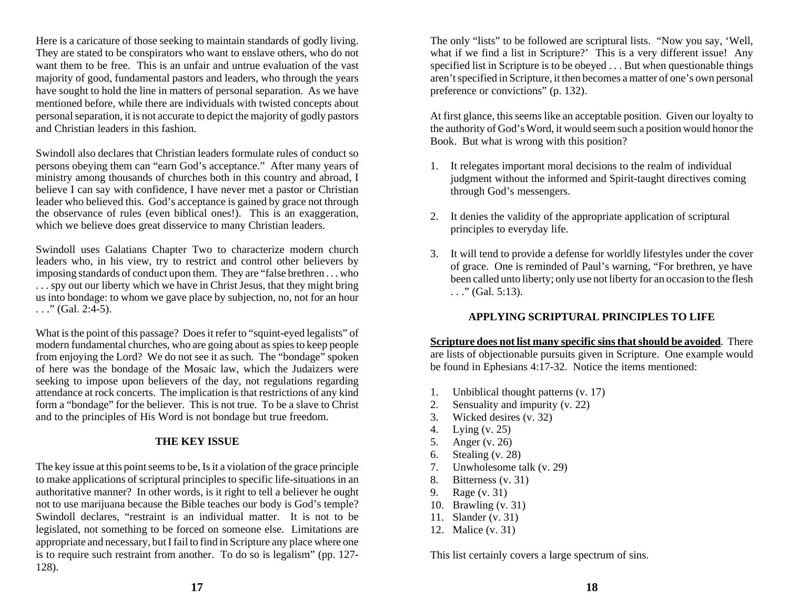Here is a caricature of those seeking to maintain standards of godly living. They are stated to be conspirators who want to enslave others, who do not want them to be free. This is an unfair and untrue evaluation of the vast majority of good, fundamental pastors and leaders, who through the years have sought to hold the line in matters of personal separation. As we have mentioned before, while there are individuals with twisted concepts about personal separation, it is not accurate to depict the majority of godly pastors and Christian leaders in this fashion.

Swindoll also declares that Christian leaders formulate rules of conduct so persons obeying them can "earn God's acceptance." After many years of ministry among thousands of churches both in this country and abroad, I believe I can say with confidence, I have never met a pastor or Christian leader who believed this. God's acceptance is gained by grace not through the observance of rules (even biblical ones!). This is an exaggeration, which we believe does great disservice to many Christian leaders.

Swindoll uses Galatians Chapter Two to characterize modern church leaders who, in his view, try to restrict and control other believers by imposing standards of conduct upon them. They are "false brethren . . . who . . . spy out our liberty which we have in Christ Jesus, that they might bring us into bondage: to whom we gave place by subjection, no, not for an hour  $\ldots$ ." (Gal. 2:4-5).

What is the point of this passage? Does it refer to "squint-eyed legalists" of modern fundamental churches, who are going about as spies to keep people from enjoying the Lord? We do not see it as such. The "bondage" spoken of here was the bondage of the Mosaic law, which the Judaizers were seeking to impose upon believers of the day, not regulations regarding attendance at rock concerts. The implication is that restrictions of any kind form a "bondage" for the believer. This is not true. To be a slave to Christ and to the principles of His Word is not bondage but true freedom.

#### **THE KEY ISSUE**

The key issue at this point seems to be, Is it a violation of the grace principle to make applications of scriptural principles to specific life-situations in an authoritative manner? In other words, is it right to tell a believer he ought not to use marijuana because the Bible teaches our body is God's temple? Swindoll declares, "restraint is an individual matter. It is not to be legislated, not something to be forced on someone else. Limitations are appropriate and necessary, but I fail to find in Scripture any place where one is to require such restraint from another. To do so is legalism" (pp. 127- 128).

The only "lists" to be followed are scriptural lists. "Now you say, 'Well, what if we find a list in Scripture?' This is a very different issue! Any specified list in Scripture is to be obeyed . . . But when questionable things aren't specified in Scripture, it then becomes a matter of one's own personal preference or convictions" (p. 132).

At first glance, this seems like an acceptable position. Given our loyalty to the authority of God's Word, it would seem such a position would honor the Book. But what is wrong with this position?

- 1. It relegates important moral decisions to the realm of individual judgment without the informed and Spirit-taught directives coming through God's messengers.
- 2. It denies the validity of the appropriate application of scriptural principles to everyday life.
- 3. It will tend to provide a defense for worldly lifestyles under the cover of grace. One is reminded of Paul's warning, "For brethren, ye have been called unto liberty; only use not liberty for an occasion to the flesh  $\ldots$ ." (Gal. 5:13).

#### **APPLYING SCRIPTURAL PRINCIPLES TO LIFE**

**Scripture does not list many specific sins that should be avoided**. There are lists of objectionable pursuits given in Scripture. One example would be found in Ephesians 4:17-32. Notice the items mentioned:

- 1. Unbiblical thought patterns (v. 17)
- 2. Sensuality and impurity (v. 22)
- 3. Wicked desires (v. 32)
- 4. Lying (v. 25)
- 5. Anger (v. 26)
- 6. Stealing (v. 28)
- 7. Unwholesome talk (v. 29)
- 8. Bitterness (v. 31)
- 9. Rage (v. 31)
- 10. Brawling (v. 31)
- 11. Slander (v. 31)
- 12. Malice (v. 31)

This list certainly covers a large spectrum of sins.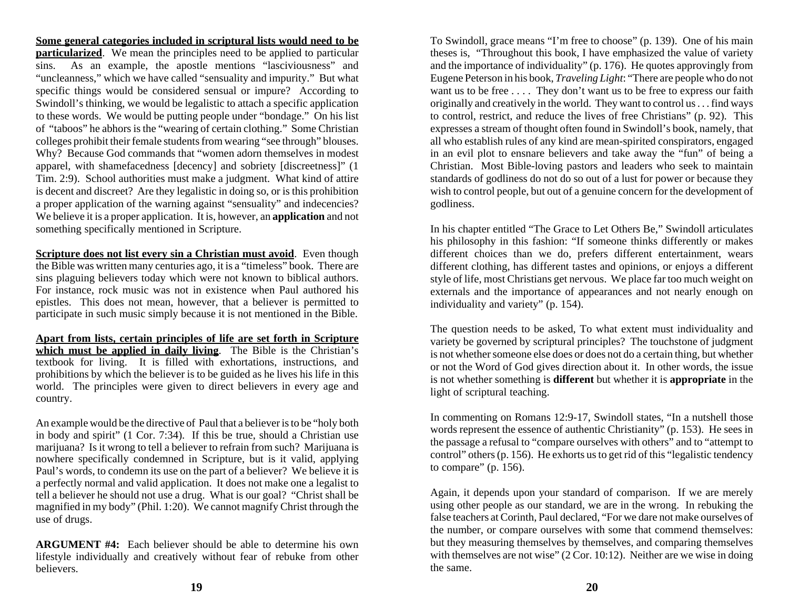**Some general categories included in scriptural lists would need to be particularized**. We mean the principles need to be applied to particular sins. As an example, the apostle mentions "lasciviousness" and "uncleanness," which we have called "sensuality and impurity." But what specific things would be considered sensual or impure? According to Swindoll's thinking, we would be legalistic to attach a specific application to these words. We would be putting people under "bondage." On his list of "taboos" he abhors is the "wearing of certain clothing." Some Christian colleges prohibit their female students from wearing "see through" blouses. Why? Because God commands that "women adorn themselves in modest apparel, with shamefacedness [decency] and sobriety [discreetness]" (1 Tim. 2:9). School authorities must make a judgment. What kind of attire is decent and discreet? Are they legalistic in doing so, or is this prohibition a proper application of the warning against "sensuality" and indecencies? We believe it is a proper application. It is, however, an **application** and not something specifically mentioned in Scripture.

**Scripture does not list every sin a Christian must avoid.** Even though the Bible was written many centuries ago, it is a "timeless" book. There are sins plaguing believers today which were not known to biblical authors. For instance, rock music was not in existence when Paul authored his epistles. This does not mean, however, that a believer is permitted to participate in such music simply because it is not mentioned in the Bible.

**Apart from lists, certain principles of life are set forth in Scripture which must be applied in daily living**. The Bible is the Christian's textbook for living. It is filled with exhortations, instructions, and prohibitions by which the believer is to be guided as he lives his life in this world. The principles were given to direct believers in every age and country.

An example would be the directive of Paul that a believer is to be "holy both in body and spirit" (1 Cor. 7:34). If this be true, should a Christian use marijuana? Is it wrong to tell a believer to refrain from such? Marijuana is nowhere specifically condemned in Scripture, but is it valid, applying Paul's words, to condemn its use on the part of a believer? We believe it is a perfectly normal and valid application. It does not make one a legalist to tell a believer he should not use a drug. What is our goal? "Christ shall be magnified in my body" (Phil. 1:20). We cannot magnify Christ through the use of drugs.

**ARGUMENT #4:** Each believer should be able to determine his own lifestyle individually and creatively without fear of rebuke from other believers.

To Swindoll, grace means "I'm free to choose" (p. 139). One of his main theses is, "Throughout this book, I have emphasized the value of variety and the importance of individuality" (p. 176). He quotes approvingly from Eugene Peterson in his book, *Traveling Light*: "There are people who do not want us to be free .... They don't want us to be free to express our faith originally and creatively in the world. They want to control us . . . find ways to control, restrict, and reduce the lives of free Christians" (p. 92). This expresses a stream of thought often found in Swindoll's book, namely, that all who establish rules of any kind are mean-spirited conspirators, engaged in an evil plot to ensnare believers and take away the "fun" of being a Christian. Most Bible-loving pastors and leaders who seek to maintain standards of godliness do not do so out of a lust for power or because they wish to control people, but out of a genuine concern for the development of godliness.

In his chapter entitled "The Grace to Let Others Be," Swindoll articulates his philosophy in this fashion: "If someone thinks differently or makes different choices than we do, prefers different entertainment, wears different clothing, has different tastes and opinions, or enjoys a different style of life, most Christians get nervous. We place far too much weight on externals and the importance of appearances and not nearly enough on individuality and variety" (p. 154).

The question needs to be asked, To what extent must individuality and variety be governed by scriptural principles? The touchstone of judgment is not whether someone else does or does not do a certain thing, but whether or not the Word of God gives direction about it. In other words, the issue is not whether something is **different** but whether it is **appropriate** in the light of scriptural teaching.

In commenting on Romans 12:9-17, Swindoll states, "In a nutshell those words represent the essence of authentic Christianity" (p. 153). He sees in the passage a refusal to "compare ourselves with others" and to "attempt to control" others (p. 156). He exhorts us to get rid of this "legalistic tendency to compare" (p. 156).

Again, it depends upon your standard of comparison. If we are merely using other people as our standard, we are in the wrong. In rebuking the false teachers at Corinth, Paul declared, "For we dare not make ourselves of the number, or compare ourselves with some that commend themselves: but they measuring themselves by themselves, and comparing themselves with themselves are not wise" (2 Cor. 10:12). Neither are we wise in doing the same.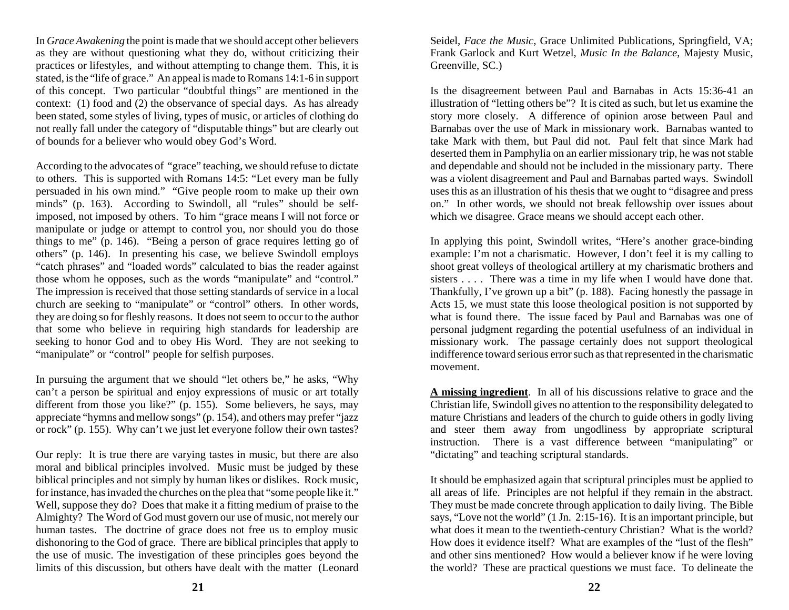In *Grace Awakening* the point is made that we should accept other believers as they are without questioning what they do, without criticizing their practices or lifestyles, and without attempting to change them. This, it is stated, is the "life of grace." An appeal is made to Romans 14:1-6 in support of this concept. Two particular "doubtful things" are mentioned in the context: (1) food and (2) the observance of special days. As has already been stated, some styles of living, types of music, or articles of clothing do not really fall under the category of "disputable things" but are clearly out of bounds for a believer who would obey God's Word.

According to the advocates of "grace" teaching, we should refuse to dictate to others. This is supported with Romans 14:5: "Let every man be fully persuaded in his own mind." "Give people room to make up their own minds" (p. 163). According to Swindoll, all "rules" should be selfimposed, not imposed by others. To him "grace means I will not force or manipulate or judge or attempt to control you, nor should you do those things to me" (p. 146). "Being a person of grace requires letting go of others" (p. 146). In presenting his case, we believe Swindoll employs "catch phrases" and "loaded words" calculated to bias the reader against those whom he opposes, such as the words "manipulate" and "control." The impression is received that those setting standards of service in a local church are seeking to "manipulate" or "control" others. In other words, they are doing so for fleshly reasons. It does not seem to occur to the author that some who believe in requiring high standards for leadership are seeking to honor God and to obey His Word. They are not seeking to "manipulate" or "control" people for selfish purposes.

In pursuing the argument that we should "let others be," he asks, "Why can't a person be spiritual and enjoy expressions of music or art totally different from those you like?" (p. 155). Some believers, he says, may appreciate "hymns and mellow songs" (p. 154), and others may prefer "jazz or rock" (p. 155). Why can't we just let everyone follow their own tastes?

Our reply: It is true there are varying tastes in music, but there are also moral and biblical principles involved. Music must be judged by these biblical principles and not simply by human likes or dislikes. Rock music, for instance, has invaded the churches on the plea that "some people like it." Well, suppose they do? Does that make it a fitting medium of praise to the Almighty? The Word of God must govern our use of music, not merely our human tastes. The doctrine of grace does not free us to employ music dishonoring to the God of grace. There are biblical principles that apply to the use of music. The investigation of these principles goes beyond the limits of this discussion, but others have dealt with the matter (Leonard

Seidel, *Face the Music*, Grace Unlimited Publications, Springfield, VA; Frank Garlock and Kurt Wetzel, *Music In the Balance*, Majesty Music, Greenville, SC.)

Is the disagreement between Paul and Barnabas in Acts 15:36-41 an illustration of "letting others be"? It is cited as such, but let us examine the story more closely. A difference of opinion arose between Paul and Barnabas over the use of Mark in missionary work. Barnabas wanted to take Mark with them, but Paul did not. Paul felt that since Mark had deserted them in Pamphylia on an earlier missionary trip, he was not stable and dependable and should not be included in the missionary party. There was a violent disagreement and Paul and Barnabas parted ways. Swindoll uses this as an illustration of his thesis that we ought to "disagree and press on." In other words, we should not break fellowship over issues about which we disagree. Grace means we should accept each other.

In applying this point, Swindoll writes, "Here's another grace-binding example: I'm not a charismatic. However, I don't feel it is my calling to shoot great volleys of theological artillery at my charismatic brothers and sisters . . . . There was a time in my life when I would have done that. Thankfully, I've grown up a bit" (p. 188). Facing honestly the passage in Acts 15, we must state this loose theological position is not supported by what is found there. The issue faced by Paul and Barnabas was one of personal judgment regarding the potential usefulness of an individual in missionary work. The passage certainly does not support theological indifference toward serious error such as that represented in the charismatic movement.

**A missing ingredient**. In all of his discussions relative to grace and the Christian life, Swindoll gives no attention to the responsibility delegated to mature Christians and leaders of the church to guide others in godly living and steer them away from ungodliness by appropriate scriptural instruction. There is a vast difference between "manipulating" or "dictating" and teaching scriptural standards.

It should be emphasized again that scriptural principles must be applied to all areas of life. Principles are not helpful if they remain in the abstract. They must be made concrete through application to daily living. The Bible says, "Love not the world" (1 Jn. 2:15-16). It is an important principle, but what does it mean to the twentieth-century Christian? What is the world? How does it evidence itself? What are examples of the "lust of the flesh" and other sins mentioned? How would a believer know if he were loving the world? These are practical questions we must face. To delineate the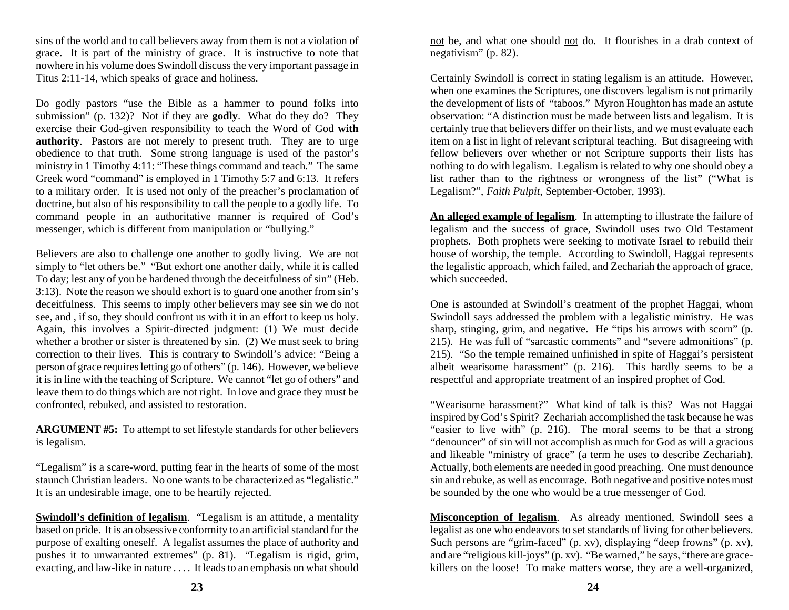sins of the world and to call believers away from them is not a violation of grace. It is part of the ministry of grace. It is instructive to note that nowhere in his volume does Swindoll discuss the very important passage in Titus 2:11-14, which speaks of grace and holiness.

Do godly pastors "use the Bible as a hammer to pound folks into submission" (p. 132)? Not if they are **godly**. What do they do? They exercise their God-given responsibility to teach the Word of God **with authority**. Pastors are not merely to present truth. They are to urge obedience to that truth. Some strong language is used of the pastor's ministry in 1 Timothy 4:11: "These things command and teach." The same Greek word "command" is employed in 1 Timothy 5:7 and 6:13. It refers to a military order. It is used not only of the preacher's proclamation of doctrine, but also of his responsibility to call the people to a godly life. To command people in an authoritative manner is required of God's messenger, which is different from manipulation or "bullying."

Believers are also to challenge one another to godly living. We are not simply to "let others be." "But exhort one another daily, while it is called To day; lest any of you be hardened through the deceitfulness of sin" (Heb. 3:13). Note the reason we should exhort is to guard one another from sin's deceitfulness. This seems to imply other believers may see sin we do not see, and , if so, they should confront us with it in an effort to keep us holy. Again, this involves a Spirit-directed judgment: (1) We must decide whether a brother or sister is threatened by sin. (2) We must seek to bring correction to their lives. This is contrary to Swindoll's advice: "Being a person of grace requires letting go of others" (p. 146). However, we believe it is in line with the teaching of Scripture. We cannot "let go of others" and leave them to do things which are not right. In love and grace they must be confronted, rebuked, and assisted to restoration.

**ARGUMENT #5:** To attempt to set lifestyle standards for other believers is legalism.

"Legalism" is a scare-word, putting fear in the hearts of some of the most staunch Christian leaders. No one wants to be characterized as "legalistic." It is an undesirable image, one to be heartily rejected.

**Swindoll's definition of legalism.** "Legalism is an attitude, a mentality based on pride. It is an obsessive conformity to an artificial standard for the purpose of exalting oneself. A legalist assumes the place of authority and pushes it to unwarranted extremes" (p. 81). "Legalism is rigid, grim, exacting, and law-like in nature . . . . It leads to an emphasis on what should

not be, and what one should not do. It flourishes in a drab context of negativism" (p. 82).

Certainly Swindoll is correct in stating legalism is an attitude. However, when one examines the Scriptures, one discovers legalism is not primarily the development of lists of "taboos." Myron Houghton has made an astute observation: "A distinction must be made between lists and legalism. It is certainly true that believers differ on their lists, and we must evaluate each item on a list in light of relevant scriptural teaching. But disagreeing with fellow believers over whether or not Scripture supports their lists has nothing to do with legalism. Legalism is related to why one should obey a list rather than to the rightness or wrongness of the list" ("What is Legalism?", *Faith Pulpit*, September-October, 1993).

**An alleged example of legalism**. In attempting to illustrate the failure of legalism and the success of grace, Swindoll uses two Old Testament prophets. Both prophets were seeking to motivate Israel to rebuild their house of worship, the temple. According to Swindoll, Haggai represents the legalistic approach, which failed, and Zechariah the approach of grace, which succeeded.

One is astounded at Swindoll's treatment of the prophet Haggai, whom Swindoll says addressed the problem with a legalistic ministry. He was sharp, stinging, grim, and negative. He "tips his arrows with scorn" (p. 215). He was full of "sarcastic comments" and "severe admonitions" (p. 215). "So the temple remained unfinished in spite of Haggai's persistent albeit wearisome harassment" (p. 216). This hardly seems to be a respectful and appropriate treatment of an inspired prophet of God.

"Wearisome harassment?" What kind of talk is this? Was not Haggai inspired by God's Spirit? Zechariah accomplished the task because he was "easier to live with" (p. 216). The moral seems to be that a strong "denouncer" of sin will not accomplish as much for God as will a gracious and likeable "ministry of grace" (a term he uses to describe Zechariah). Actually, both elements are needed in good preaching. One must denounce sin and rebuke, as well as encourage. Both negative and positive notes must be sounded by the one who would be a true messenger of God.

**Misconception of legalism**. As already mentioned, Swindoll sees a legalist as one who endeavors to set standards of living for other believers. Such persons are "grim-faced" (p. xv), displaying "deep frowns" (p. xv), and are "religious kill-joys" (p. xv). "Be warned," he says, "there are gracekillers on the loose! To make matters worse, they are a well-organized,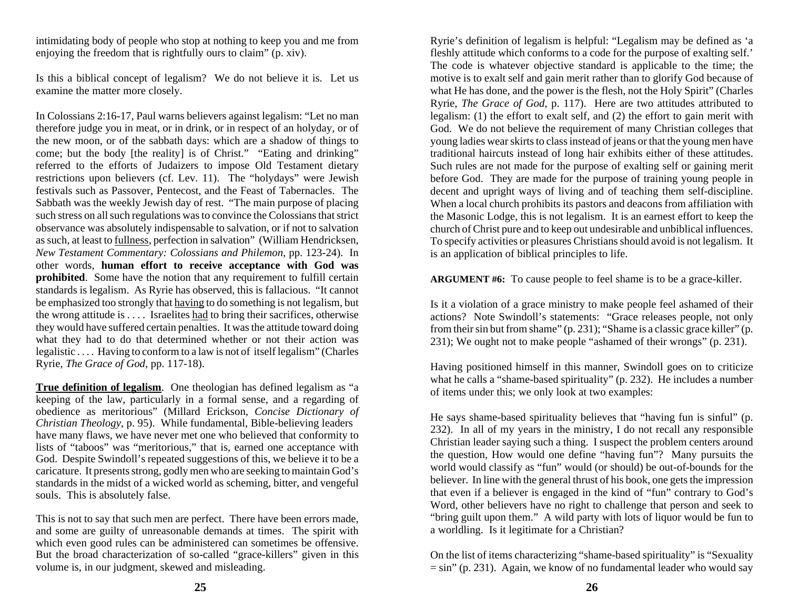intimidating body of people who stop at nothing to keep you and me from enjoying the freedom that is rightfully ours to claim" (p. xiv).

Is this a biblical concept of legalism? We do not believe it is. Let us examine the matter more closely.

In Colossians 2:16-17, Paul warns believers against legalism: "Let no man therefore judge you in meat, or in drink, or in respect of an holyday, or of the new moon, or of the sabbath days: which are a shadow of things to come; but the body [the reality] is of Christ." "Eating and drinking" referred to the efforts of Judaizers to impose Old Testament dietary restrictions upon believers (cf. Lev. 11). The "holydays" were Jewish festivals such as Passover, Pentecost, and the Feast of Tabernacles. The Sabbath was the weekly Jewish day of rest. "The main purpose of placing such stress on all such regulations was to convince the Colossians that strict observance was absolutely indispensable to salvation, or if not to salvation as such, at least to fullness, perfection in salvation" (William Hendricksen, *New Testament Commentary: Colossians and Philemon*, pp. 123-24). In other words, **human effort to receive acceptance with God was prohibited**. Some have the notion that any requirement to fulfill certain standards is legalism. As Ryrie has observed, this is fallacious. "It cannot be emphasized too strongly that having to do something is not legalism, but the wrong attitude is . . . . Israelites had to bring their sacrifices, otherwise they would have suffered certain penalties. It was the attitude toward doing what they had to do that determined whether or not their action was legalistic . . . . Having to conform to a law is not of itself legalism" (Charles Ryrie, *The Grace of God*, pp. 117-18).

**True definition of legalism**. One theologian has defined legalism as "a keeping of the law, particularly in a formal sense, and a regarding of obedience as meritorious" (Millard Erickson, *Concise Dictionary of Christian Theology*, p. 95). While fundamental, Bible-believing leaders have many flaws, we have never met one who believed that conformity to lists of "taboos" was "meritorious," that is, earned one acceptance with God. Despite Swindoll's repeated suggestions of this, we believe it to be a caricature. It presents strong, godly men who are seeking to maintain God's standards in the midst of a wicked world as scheming, bitter, and vengeful souls. This is absolutely false.

This is not to say that such men are perfect. There have been errors made, and some are guilty of unreasonable demands at times. The spirit with which even good rules can be administered can sometimes be offensive. But the broad characterization of so-called "grace-killers" given in this volume is, in our judgment, skewed and misleading.

Ryrie's definition of legalism is helpful: "Legalism may be defined as 'a fleshly attitude which conforms to a code for the purpose of exalting self.' The code is whatever objective standard is applicable to the time; the motive is to exalt self and gain merit rather than to glorify God because of what He has done, and the power is the flesh, not the Holy Spirit" (Charles Ryrie, *The Grace of God*, p. 117). Here are two attitudes attributed to legalism: (1) the effort to exalt self, and (2) the effort to gain merit with God. We do not believe the requirement of many Christian colleges that young ladies wear skirts to class instead of jeans or that the young men have traditional haircuts instead of long hair exhibits either of these attitudes. Such rules are not made for the purpose of exalting self or gaining merit before God. They are made for the purpose of training young people in decent and upright ways of living and of teaching them self-discipline. When a local church prohibits its pastors and deacons from affiliation with the Masonic Lodge, this is not legalism. It is an earnest effort to keep the church of Christ pure and to keep out undesirable and unbiblical influences. To specify activities or pleasures Christians should avoid is not legalism. It is an application of biblical principles to life.

**ARGUMENT #6:** To cause people to feel shame is to be a grace-killer.

Is it a violation of a grace ministry to make people feel ashamed of their actions? Note Swindoll's statements: "Grace releases people, not only from their sin but from shame" (p. 231); "Shame is a classic grace killer" (p. 231); We ought not to make people "ashamed of their wrongs" (p. 231).

Having positioned himself in this manner, Swindoll goes on to criticize what he calls a "shame-based spirituality" (p. 232). He includes a number of items under this; we only look at two examples:

He says shame-based spirituality believes that "having fun is sinful" (p. 232). In all of my years in the ministry, I do not recall any responsible Christian leader saying such a thing. I suspect the problem centers around the question, How would one define "having fun"? Many pursuits the world would classify as "fun" would (or should) be out-of-bounds for the believer. In line with the general thrust of his book, one gets the impression that even if a believer is engaged in the kind of "fun" contrary to God's Word, other believers have no right to challenge that person and seek to "bring guilt upon them." A wild party with lots of liquor would be fun to a worldling. Is it legitimate for a Christian?

On the list of items characterizing "shame-based spirituality" is "Sexuality  $=$  sin" (p. 231). Again, we know of no fundamental leader who would say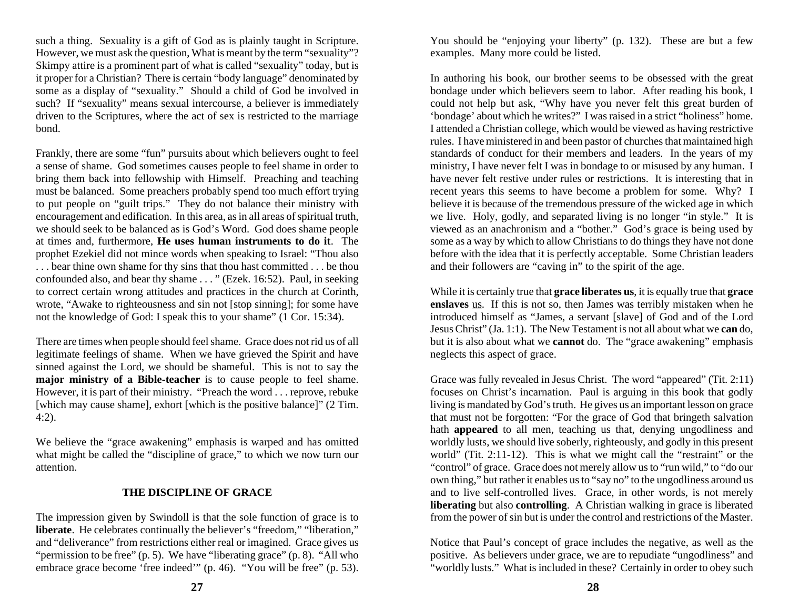such a thing. Sexuality is a gift of God as is plainly taught in Scripture. However, we must ask the question, What is meant by the term "sexuality"? Skimpy attire is a prominent part of what is called "sexuality" today, but is it proper for a Christian? There is certain "body language" denominated by some as a display of "sexuality." Should a child of God be involved in such? If "sexuality" means sexual intercourse, a believer is immediately driven to the Scriptures, where the act of sex is restricted to the marriage bond.

Frankly, there are some "fun" pursuits about which believers ought to feel a sense of shame. God sometimes causes people to feel shame in order to bring them back into fellowship with Himself. Preaching and teaching must be balanced. Some preachers probably spend too much effort trying to put people on "guilt trips." They do not balance their ministry with encouragement and edification. In this area, as in all areas of spiritual truth, we should seek to be balanced as is God's Word. God does shame people at times and, furthermore, **He uses human instruments to do it**. The prophet Ezekiel did not mince words when speaking to Israel: "Thou also . . . bear thine own shame for thy sins that thou hast committed . . . be thou confounded also, and bear thy shame . . . " (Ezek. 16:52). Paul, in seeking to correct certain wrong attitudes and practices in the church at Corinth, wrote, "Awake to righteousness and sin not [stop sinning]; for some have not the knowledge of God: I speak this to your shame" (1 Cor. 15:34).

There are times when people should feel shame. Grace does not rid us of all legitimate feelings of shame. When we have grieved the Spirit and have sinned against the Lord, we should be shameful. This is not to say the **major ministry of a Bible-teacher** is to cause people to feel shame. However, it is part of their ministry. "Preach the word . . . reprove, rebuke [which may cause shame], exhort [which is the positive balance]" (2 Tim. 4:2).

We believe the "grace awakening" emphasis is warped and has omitted what might be called the "discipline of grace," to which we now turn our attention.

#### **THE DISCIPLINE OF GRACE**

The impression given by Swindoll is that the sole function of grace is to **liberate**. He celebrates continually the believer's "freedom," "liberation," and "deliverance" from restrictions either real or imagined. Grace gives us "permission to be free" (p. 5). We have "liberating grace" (p. 8). "All who embrace grace become 'free indeed'" (p. 46). "You will be free" (p. 53).

You should be "enjoying your liberty" (p. 132). These are but a few examples. Many more could be listed.

In authoring his book, our brother seems to be obsessed with the great bondage under which believers seem to labor. After reading his book, I could not help but ask, "Why have you never felt this great burden of 'bondage' about which he writes?" I was raised in a strict "holiness" home. I attended a Christian college, which would be viewed as having restrictive rules. I have ministered in and been pastor of churches that maintained high standards of conduct for their members and leaders. In the years of my ministry, I have never felt I was in bondage to or misused by any human. I have never felt restive under rules or restrictions. It is interesting that in recent years this seems to have become a problem for some. Why? I believe it is because of the tremendous pressure of the wicked age in which we live. Holy, godly, and separated living is no longer "in style." It is viewed as an anachronism and a "bother." God's grace is being used by some as a way by which to allow Christians to do things they have not done before with the idea that it is perfectly acceptable. Some Christian leaders and their followers are "caving in" to the spirit of the age.

While it is certainly true that **grace liberates us**, it is equally true that **grace enslaves** us. If this is not so, then James was terribly mistaken when he introduced himself as "James, a servant [slave] of God and of the Lord Jesus Christ" (Ja. 1:1). The New Testament is not all about what we **can** do, but it is also about what we **cannot** do. The "grace awakening" emphasis neglects this aspect of grace.

Grace was fully revealed in Jesus Christ. The word "appeared" (Tit. 2:11) focuses on Christ's incarnation. Paul is arguing in this book that godly living is mandated by God's truth. He gives us an important lesson on grace that must not be forgotten: "For the grace of God that bringeth salvation hath **appeared** to all men, teaching us that, denying ungodliness and worldly lusts, we should live soberly, righteously, and godly in this present world" (Tit. 2:11-12). This is what we might call the "restraint" or the "control" of grace. Grace does not merely allow us to "run wild," to "do our own thing," but rather it enables us to "say no" to the ungodliness around us and to live self-controlled lives. Grace, in other words, is not merely **liberating** but also **controlling**. A Christian walking in grace is liberated from the power of sin but is under the control and restrictions of the Master.

Notice that Paul's concept of grace includes the negative, as well as the positive. As believers under grace, we are to repudiate "ungodliness" and "worldly lusts." What is included in these? Certainly in order to obey such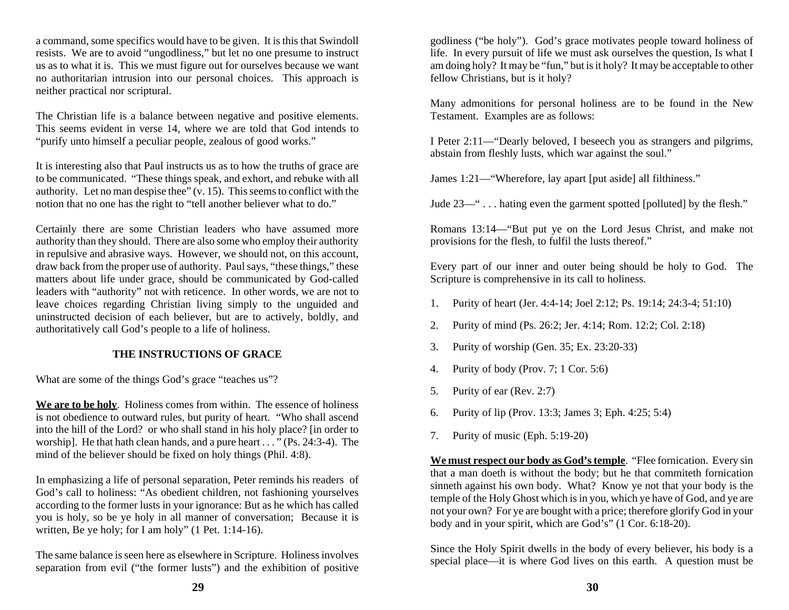a command, some specifics would have to be given. It is this that Swindoll resists. We are to avoid "ungodliness," but let no one presume to instruct us as to what it is. This we must figure out for ourselves because we want no authoritarian intrusion into our personal choices. This approach is neither practical nor scriptural.

The Christian life is a balance between negative and positive elements. This seems evident in verse 14, where we are told that God intends to "purify unto himself a peculiar people, zealous of good works."

It is interesting also that Paul instructs us as to how the truths of grace are to be communicated. "These things speak, and exhort, and rebuke with all authority. Let no man despise thee"  $(v, 15)$ . This seems to conflict with the notion that no one has the right to "tell another believer what to do."

Certainly there are some Christian leaders who have assumed more authority than they should. There are also some who employ their authority in repulsive and abrasive ways. However, we should not, on this account, draw back from the proper use of authority. Paul says, "these things," these matters about life under grace, should be communicated by God-called leaders with "authority" not with reticence. In other words, we are not to leave choices regarding Christian living simply to the unguided and uninstructed decision of each believer, but are to actively, boldly, and authoritatively call God's people to a life of holiness.

#### **THE INSTRUCTIONS OF GRACE**

What are some of the things God's grace "teaches us"?

**We are to be holy**. Holiness comes from within. The essence of holiness is not obedience to outward rules, but purity of heart. "Who shall ascend into the hill of the Lord? or who shall stand in his holy place? [in order to worship]. He that hath clean hands, and a pure heart . . . " (Ps. 24:3-4). The mind of the believer should be fixed on holy things (Phil. 4:8).

In emphasizing a life of personal separation, Peter reminds his readers of God's call to holiness: "As obedient children, not fashioning yourselves according to the former lusts in your ignorance: But as he which has called you is holy, so be ye holy in all manner of conversation; Because it is written, Be ye holy; for I am holy" (1 Pet. 1:14-16).

The same balance is seen here as elsewhere in Scripture. Holiness involves separation from evil ("the former lusts") and the exhibition of positive

godliness ("be holy"). God's grace motivates people toward holiness of life. In every pursuit of life we must ask ourselves the question, Is what I am doing holy? It may be "fun," but is it holy? It may be acceptable to other fellow Christians, but is it holy?

Many admonitions for personal holiness are to be found in the New Testament. Examples are as follows:

I Peter 2:11—"Dearly beloved, I beseech you as strangers and pilgrims, abstain from fleshly lusts, which war against the soul."

James 1:21—"Wherefore, lay apart [put aside] all filthiness."

Jude 23—" . . . hating even the garment spotted [polluted] by the flesh."

Romans 13:14—"But put ye on the Lord Jesus Christ, and make not provisions for the flesh, to fulfil the lusts thereof."

Every part of our inner and outer being should be holy to God. The Scripture is comprehensive in its call to holiness.

- 1. Purity of heart (Jer. 4:4-14; Joel 2:12; Ps. 19:14; 24:3-4; 51:10)
- 2. Purity of mind (Ps. 26:2; Jer. 4:14; Rom. 12:2; Col. 2:18)
- 3. Purity of worship (Gen. 35; Ex. 23:20-33)
- 4. Purity of body (Prov. 7; 1 Cor. 5:6)
- 5. Purity of ear (Rev. 2:7)
- 6. Purity of lip (Prov. 13:3; James 3; Eph. 4:25; 5:4)
- 7. Purity of music (Eph. 5:19-20)

**We must respect our body as God's temple**. "Flee fornication. Every sin that a man doeth is without the body; but he that commiteth fornication sinneth against his own body. What? Know ye not that your body is the temple of the Holy Ghost which is in you, which ye have of God, and ye are not your own? For ye are bought with a price; therefore glorify God in your body and in your spirit, which are God's" (1 Cor. 6:18-20).

Since the Holy Spirit dwells in the body of every believer, his body is a special place—it is where God lives on this earth. A question must be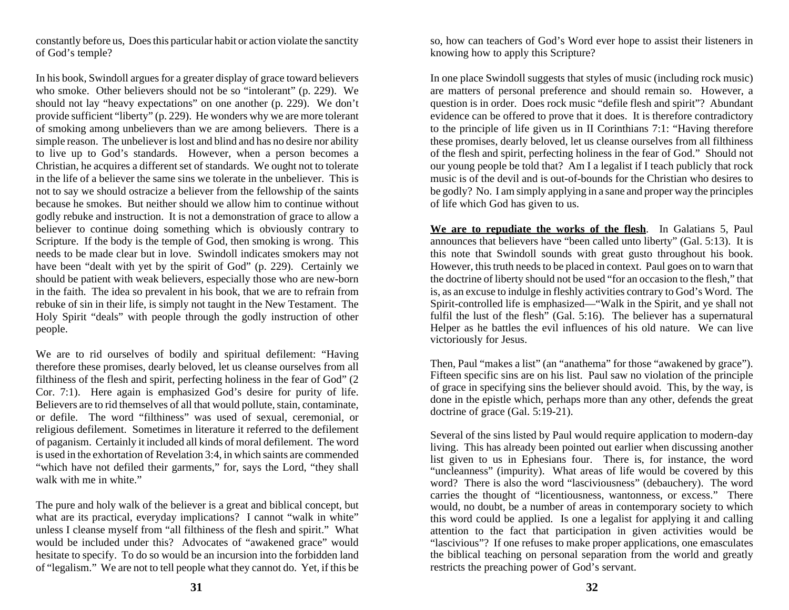constantly before us, Does this particular habit or action violate the sanctity of God's temple?

In his book, Swindoll argues for a greater display of grace toward believers who smoke. Other believers should not be so "intolerant" (p. 229). We should not lay "heavy expectations" on one another (p. 229). We don't provide sufficient "liberty" (p. 229). He wonders why we are more tolerant of smoking among unbelievers than we are among believers. There is a simple reason. The unbeliever is lost and blind and has no desire nor ability to live up to God's standards. However, when a person becomes a Christian, he acquires a different set of standards. We ought not to tolerate in the life of a believer the same sins we tolerate in the unbeliever. This is not to say we should ostracize a believer from the fellowship of the saints because he smokes. But neither should we allow him to continue without godly rebuke and instruction. It is not a demonstration of grace to allow a believer to continue doing something which is obviously contrary to Scripture. If the body is the temple of God, then smoking is wrong. This needs to be made clear but in love. Swindoll indicates smokers may not have been "dealt with yet by the spirit of God" (p. 229). Certainly we should be patient with weak believers, especially those who are new-born in the faith. The idea so prevalent in his book, that we are to refrain from rebuke of sin in their life, is simply not taught in the New Testament. The Holy Spirit "deals" with people through the godly instruction of other people.

We are to rid ourselves of bodily and spiritual defilement: "Having therefore these promises, dearly beloved, let us cleanse ourselves from all filthiness of the flesh and spirit, perfecting holiness in the fear of God" (2 Cor. 7:1). Here again is emphasized God's desire for purity of life. Believers are to rid themselves of all that would pollute, stain, contaminate, or defile. The word "filthiness" was used of sexual, ceremonial, or religious defilement. Sometimes in literature it referred to the defilement of paganism. Certainly it included all kinds of moral defilement. The word is used in the exhortation of Revelation 3:4, in which saints are commended "which have not defiled their garments," for, says the Lord, "they shall walk with me in white."

The pure and holy walk of the believer is a great and biblical concept, but what are its practical, everyday implications? I cannot "walk in white" unless I cleanse myself from "all filthiness of the flesh and spirit." What would be included under this? Advocates of "awakened grace" would hesitate to specify. To do so would be an incursion into the forbidden land of "legalism." We are not to tell people what they cannot do. Yet, if this be

so, how can teachers of God's Word ever hope to assist their listeners in knowing how to apply this Scripture?

In one place Swindoll suggests that styles of music (including rock music) are matters of personal preference and should remain so. However, a question is in order. Does rock music "defile flesh and spirit"? Abundant evidence can be offered to prove that it does. It is therefore contradictory to the principle of life given us in II Corinthians 7:1: "Having therefore these promises, dearly beloved, let us cleanse ourselves from all filthiness of the flesh and spirit, perfecting holiness in the fear of God." Should not our young people be told that? Am I a legalist if I teach publicly that rock music is of the devil and is out-of-bounds for the Christian who desires to be godly? No. I am simply applying in a sane and proper way the principles of life which God has given to us.

**We are to repudiate the works of the flesh**. In Galatians 5, Paul announces that believers have "been called unto liberty" (Gal. 5:13). It is this note that Swindoll sounds with great gusto throughout his book. However, this truth needs to be placed in context. Paul goes on to warn that the doctrine of liberty should not be used "for an occasion to the flesh," that is, as an excuse to indulge in fleshly activities contrary to God's Word. The Spirit-controlled life is emphasized—"Walk in the Spirit, and ye shall not fulfil the lust of the flesh" (Gal. 5:16). The believer has a supernatural Helper as he battles the evil influences of his old nature. We can live victoriously for Jesus.

Then, Paul "makes a list" (an "anathema" for those "awakened by grace"). Fifteen specific sins are on his list. Paul saw no violation of the principle of grace in specifying sins the believer should avoid. This, by the way, is done in the epistle which, perhaps more than any other, defends the great doctrine of grace (Gal. 5:19-21).

Several of the sins listed by Paul would require application to modern-day living. This has already been pointed out earlier when discussing another list given to us in Ephesians four. There is, for instance, the word "uncleanness" (impurity). What areas of life would be covered by this word? There is also the word "lasciviousness" (debauchery). The word carries the thought of "licentiousness, wantonness, or excess." There would, no doubt, be a number of areas in contemporary society to which this word could be applied. Is one a legalist for applying it and calling attention to the fact that participation in given activities would be "lascivious"? If one refuses to make proper applications, one emasculates the biblical teaching on personal separation from the world and greatly restricts the preaching power of God's servant.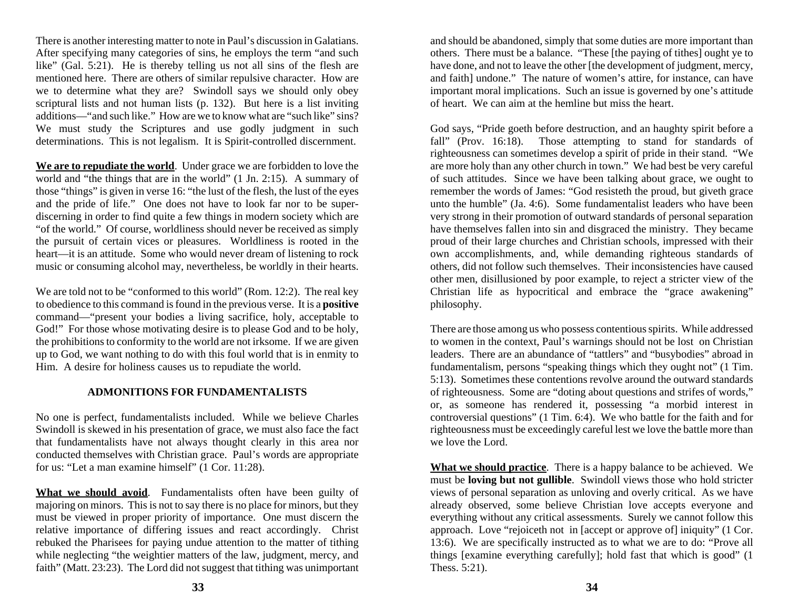There is another interesting matter to note in Paul's discussion in Galatians. After specifying many categories of sins, he employs the term "and such like" (Gal. 5:21). He is thereby telling us not all sins of the flesh are mentioned here. There are others of similar repulsive character. How are we to determine what they are? Swindoll says we should only obey scriptural lists and not human lists (p. 132). But here is a list inviting additions—"and such like." How are we to know what are "such like" sins? We must study the Scriptures and use godly judgment in such determinations. This is not legalism. It is Spirit-controlled discernment.

**We are to repudiate the world**. Under grace we are forbidden to love the world and "the things that are in the world" (1 Jn. 2:15). A summary of those "things" is given in verse 16: "the lust of the flesh, the lust of the eyes and the pride of life." One does not have to look far nor to be superdiscerning in order to find quite a few things in modern society which are "of the world." Of course, worldliness should never be received as simply the pursuit of certain vices or pleasures. Worldliness is rooted in the heart—it is an attitude. Some who would never dream of listening to rock music or consuming alcohol may, nevertheless, be worldly in their hearts.

We are told not to be "conformed to this world" (Rom. 12:2). The real key to obedience to this command is found in the previous verse. It is a **positive** command—"present your bodies a living sacrifice, holy, acceptable to God!" For those whose motivating desire is to please God and to be holy, the prohibitions to conformity to the world are not irksome. If we are given up to God, we want nothing to do with this foul world that is in enmity to Him. A desire for holiness causes us to repudiate the world.

#### **ADMONITIONS FOR FUNDAMENTALISTS**

No one is perfect, fundamentalists included. While we believe Charles Swindoll is skewed in his presentation of grace, we must also face the fact that fundamentalists have not always thought clearly in this area nor conducted themselves with Christian grace. Paul's words are appropriate for us: "Let a man examine himself" (1 Cor. 11:28).

**What we should avoid**. Fundamentalists often have been guilty of majoring on minors. This is not to say there is no place for minors, but they must be viewed in proper priority of importance. One must discern the relative importance of differing issues and react accordingly. Christ rebuked the Pharisees for paying undue attention to the matter of tithing while neglecting "the weightier matters of the law, judgment, mercy, and faith" (Matt. 23:23). The Lord did not suggest that tithing was unimportant

and should be abandoned, simply that some duties are more important than others. There must be a balance. "These [the paying of tithes] ought ye to have done, and not to leave the other [the development of judgment, mercy, and faith] undone." The nature of women's attire, for instance, can have important moral implications. Such an issue is governed by one's attitude of heart. We can aim at the hemline but miss the heart.

God says, "Pride goeth before destruction, and an haughty spirit before a fall" (Prov. 16:18). Those attempting to stand for standards of righteousness can sometimes develop a spirit of pride in their stand. "We are more holy than any other church in town." We had best be very careful of such attitudes. Since we have been talking about grace, we ought to remember the words of James: "God resisteth the proud, but giveth grace unto the humble" (Ja. 4:6). Some fundamentalist leaders who have been very strong in their promotion of outward standards of personal separation have themselves fallen into sin and disgraced the ministry. They became proud of their large churches and Christian schools, impressed with their own accomplishments, and, while demanding righteous standards of others, did not follow such themselves. Their inconsistencies have caused other men, disillusioned by poor example, to reject a stricter view of the Christian life as hypocritical and embrace the "grace awakening" philosophy.

There are those among us who possess contentious spirits. While addressed to women in the context, Paul's warnings should not be lost on Christian leaders. There are an abundance of "tattlers" and "busybodies" abroad in fundamentalism, persons "speaking things which they ought not" (1 Tim. 5:13). Sometimes these contentions revolve around the outward standards of righteousness. Some are "doting about questions and strifes of words," or, as someone has rendered it, possessing "a morbid interest in controversial questions" (1 Tim. 6:4). We who battle for the faith and for righteousness must be exceedingly careful lest we love the battle more than we love the Lord.

**What we should practice**. There is a happy balance to be achieved. We must be **loving but not gullible**. Swindoll views those who hold stricter views of personal separation as unloving and overly critical. As we have already observed, some believe Christian love accepts everyone and everything without any critical assessments. Surely we cannot follow this approach. Love "rejoiceth not in [accept or approve of] iniquity" (1 Cor. 13:6). We are specifically instructed as to what we are to do: "Prove all things [examine everything carefully]; hold fast that which is good" (1 Thess. 5:21).